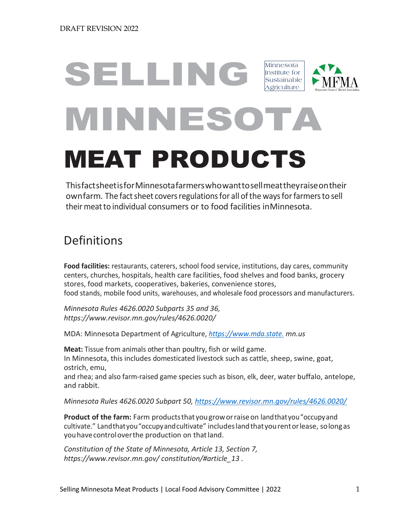# SELLING MINNESOTA MEAT PRODUCTS Minnesota Institute for Sustainable Agriculture

ThisfactsheetisforMinnesotafarmerswhowanttosellmeattheyraiseontheir own farm. The fact sheet covers regulations for all of the ways for farmers to sell theirmeatto individual consumers or to food facilities inMinnesota.

# Definitions

**Food facilities:** restaurants, caterers, school food service, institutions, day cares, community centers, churches, hospitals, health care facilities, food shelves and food banks, grocery stores, food markets, cooperatives, bakeries, convenience stores, food stands, mobile food units, warehouses, and wholesale food processors and manufacturers.

*Minnesota Rules 4626.0020 Subparts 35 and 36, https://www.revisor.mn.gov/rules/4626.0020/*

MDA: Minnesota Department of Agriculture, *[https://www.mda.state.](https://www.mda.state./) mn.us*

**Meat:** Tissue from animals other than poultry, fish or wild game. In Minnesota, this includes domesticated livestock such as cattle, sheep, swine, goat, ostrich, emu,

and rhea; and also farm-raised game species such as bison, elk, deer, water buffalo, antelope, and rabbit.

*Minnesota Rules 4626.0020 Subpart 50,<https://www.revisor.mn.gov/rules/4626.0020/>*

**Product of the farm:** Farm productsthat yougroworraiseon landthatyou"occupyand cultivate." Landthatyou"occupyandcultivate" includeslandthatyourentorlease, solongas youhavecontroloverthe production on thatland.

*Constitution of the State of Minnesota, Article 13, Section 7, [https://www.](http://www.revisor.mn.gov/)reviso[r.mn.gov/](http://www.revisor.mn.gov/) constitution/#article\_13 .*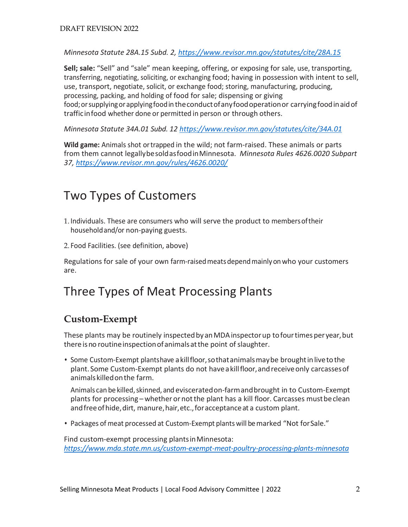*Minnesota Statute 28A.15 Subd. 2,<https://www.revisor.mn.gov/statutes/cite/28A.15>*

**Sell; sale:** "Sell" and "sale" mean keeping, offering, or exposing for sale, use, transporting, transferring, negotiating, soliciting, or exchanging food; having in possession with intent to sell, use, transport, negotiate, solicit, or exchange food; storing, manufacturing, producing, processing, packing, and holding of food for sale; dispensing or giving food; or supplying or applying food in the conduct of any food operation or carrying food in aid of trafficinfood whether done or permitted in person or through others.

*Minnesota Statute 34A.01 Subd. 12<https://www.revisor.mn.gov/statutes/cite/34A.01>*

**Wild game:** Animals shot ortrapped in the wild; not farm-raised. These animals or parts from them cannot legallybesoldasfoodinMinnesota. *Minnesota Rules 4626.0020 Subpart 37,<https://www.revisor.mn.gov/rules/4626.0020/>*

## Two Types of Customers

- 1. Individuals. These are consumers who will serve the product to membersoftheir householdand/or non-paying guests.
- 2. Food Facilities. (see definition, above)

Regulations for sale of your own farm-raisedmeatsdependmainlyon who your customers are.

## Three Types of Meat Processing Plants

#### **Custom-Exempt**

These plants may be routinely inspected by an MDA inspector up to four times per year, but there is no routine inspection of animals at the point of slaughter.

• Some Custom-Exempt plantshave a kill floor, so that animals may be brought in live to the plant. Some Custom-Exempt plants do not haveakillfloor,andreceiveonly carcassesof animalskilledonthe farm.

Animals can be killed,skinned, and evisceratedon-farmandbrought in to Custom-Exempt plants for processing – whether or notthe plant has a kill floor. Carcasses mustbeclean and free of hide, dirt, manure, hair, etc., for acceptance at a custom plant.

• Packages of meat processed at Custom-Exempt plants will be marked "Not forSale."

Find custom-exempt processing plants in Minnesota: *<https://www.mda.state.mn.us/custom-exempt-meat-poultry-processing-plants-minnesota>*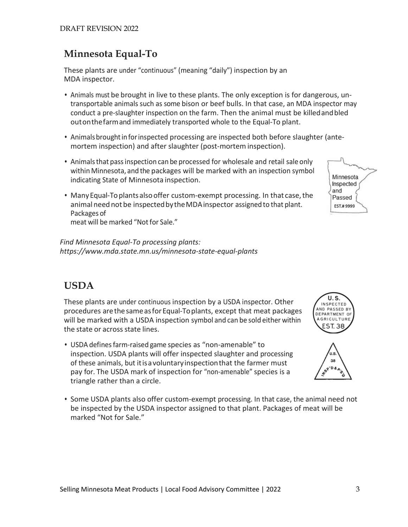#### **Minnesota Equal-To**

These plants are under "continuous" (meaning "daily") inspection by an MDA inspector.

- Animals must be brought in live to these plants. The only exception is for dangerous, untransportable animals such as some bison or beef bulls. In that case, an MDA inspector may conduct a pre-slaughter inspection on the farm. Then the animal must be killedandbled outonthefarmand immediately transported whole to the Equal-To plant.
- Animals brought in for inspected processing are inspected both before slaughter (antemortem inspection) and after slaughter (post-mortem inspection).
- Animalsthat passinspection can be processed for wholesale and retail sale only within Minnesota, and the packages will be marked with an inspection symbol indicating State of Minnesota inspection.
- ManyEqual-Toplantsalsooffer custom-exempt processing. In that case,the animal need not be inspected by the MDA inspector assigned to that plant. Packages of meat will be marked "Not for Sale."

*Find Minnesota Equal-To processing plants: https://www.mda.state.mn.us/minnesota-state-equal-plants*

#### **USDA**

These plants are under continuous inspection by a USDA inspector. Other procedures arethesameasforEqual-Toplants, except that meat packages will be marked with a USDA inspection symbol and can be sold either within the state or across state lines.

- USDA defines farm-raised game species as "non-amenable" to inspection. USDA plants will offer inspected slaughter and processing of these animals, but itisavoluntaryinspectionthat the farmer must pay for. The USDA mark of inspection for "non-amenable" species is a triangle rather than a circle.
- Some USDA plants also offer custom-exempt processing. In that case, the animal need not be inspected by the USDA inspector assigned to that plant. Packages of meat will be marked "Not for Sale."





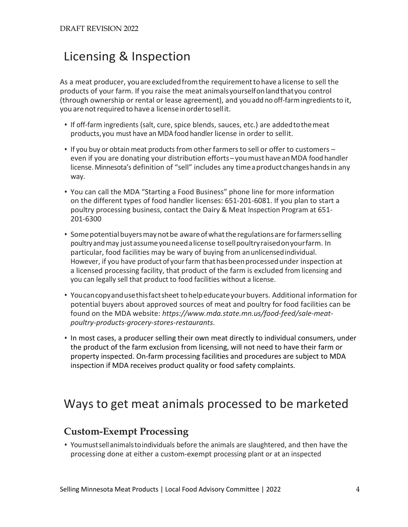# Licensing & Inspection

As a meat producer, youareexcludedfromthe requirementtohavea license to sell the products of your farm. If you raise the meat animalsyourselfonlandthatyou control (through ownership or rental or lease agreement), and you add no off-farmingredientsto it, you are not required to have a license in order to sellit.

- If off-farm ingredients (salt, cure, spice blends, sauces, etc.) are addedtothemeat products,you must have an MDA food handler license in order to sellit.
- If you buy or obtain meat products from other farmers to sell or offer to customers even if you are donating your distribution efforts–youmusthaveanMDA food handler license. Minnesota's definition of "sell" includes any time a product changes hands in any way.
- You can call the MDA "Starting a Food Business" phone line for more information on the different types of food handler licenses: 651-201-6081. If you plan to start a poultry processing business, contact the Dairy & Meat Inspection Program at 651- 201-6300
- Some potential buyers may not be aware of what the regulations are for farmers selling poultryandmay justassumeyouneedalicense tosellpoultryraisedonyourfarm. In particular, food facilities may be wary of buying from anunlicensedindividual. However, if you have product of yourfarm thathasbeenprocessedunder inspection at a licensed processing facility, that product of the farm is excluded from licensing and you can legally sell that product to food facilities without a license.
- Youcancopyandusethisfactsheet tohelpeducateyourbuyers. Additional information for potential buyers about approved sources of meat and poultry for food facilities can be found on the MDA website: *https://www.mda.state.mn.us/food-feed/sale-meatpoultry-products-grocery-stores-restaurants*.
- In most cases, a producer selling their own meat directly to individual consumers, under the product of the farm exclusion from licensing, will not need to have their farm or property inspected. On-farm processing facilities and procedures are subject to MDA inspection if MDA receives product quality or food safety complaints.

## Ways to get meat animals processed to be marketed

#### **Custom-Exempt Processing**

• Youmustsellanimalstoindividuals before the animals are slaughtered, and then have the processing done at either a custom-exempt processing plant or at an inspected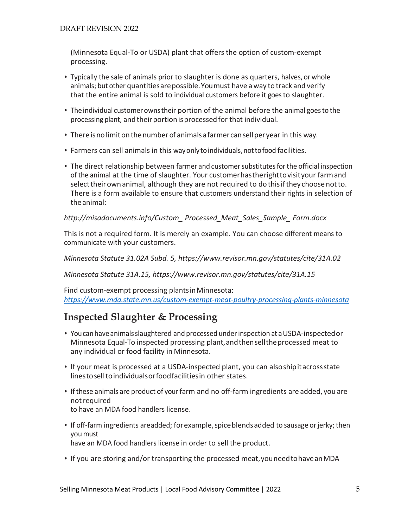(Minnesota Equal-To or USDA) plant that offers the option of custom-exempt processing.

- Typically the sale of animals prior to slaughter is done as quarters, halves, or whole animals; but other quantitiesarepossible.Youmust have away to track and verify that the entire animal is sold to individual customers before it goes to slaughter.
- Theindividual customerownstheir portion of the animal before the animal goesto the processing plant, and their portion is processed for that individual.
- There is no limit on the number of animals a farmer can sell per year in this way.
- Farmers can sell animals in this wayonlytoindividuals,nottofood facilities.
- The direct relationship between farmer and customer substitutes for the official inspection of the animal at the time of slaughter. Your customerhastherighttovisityour farmand selecttheirownanimal, although they are not required to do thisifthey choose notto. There is a form available to ensure that customers understand their rights in selection of theanimal:

*[http://misadocuments.info/Custom\\_](http://misadocuments.info/Custom_) Processed\_Meat\_Sales\_Sample\_ Form.docx*

This is not a required form. It is merely an example. You can choose different means to communicate with your customers.

*Minnesota Statute 31.02A Subd. 5, https://www.revisor.mn.gov/statutes/cite/31A.02*

*Minnesota Statute 31A.15, https://www.revisor.mn.gov/statutes/cite/31A.15* 

Find custom-exempt processing plantsinMinnesota: *<https://www.mda.state.mn.us/custom-exempt-meat-poultry-processing-plants-minnesota>*

#### **Inspected Slaughter & Processing**

- Youcanhaveanimalsslaughtered and processed underinspection at aUSDA-inspectedor Minnesota Equal-To inspected processing plant,andthenselltheprocessed meat to any individual or food facility in Minnesota.
- If your meat is processed at a USDA-inspected plant, you can alsoshipitacrossstate linestosell toindividualsorfoodfacilitiesin other states.
- If these animals are product of your farm and no off-farm ingredients are added, you are notrequired to have an MDA food handlers license.
- If off-farm ingredients areadded; for example, spice blends added to sausage or jerky; then youmust have an MDA food handlers license in order to sell the product.
- If you are storing and/or transporting the processed meat,youneedtohaveanMDA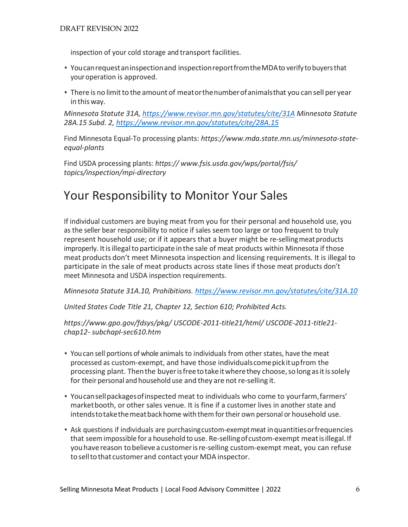inspection of your cold storage and transport facilities.

- Youcanrequestaninspectionand inspectionreportfromtheMDAto verify tobuyersthat youroperation is approved.
- There is no limitto the amount of meatorthenumberofanimalsthat you can sell per year in this way.

*Minnesota Statute 31A,<https://www.revisor.mn.gov/statutes/cite/31A> Minnesota Statute 28A.15 Subd. 2,<https://www.revisor.mn.gov/statutes/cite/28A.15>*

Find Minnesota Equal-To processing plants: *https://www.mda.state.mn.us/minnesota-stateequal-plants*

Find USDA processing plants: *https:// [www.fsis.usda.gov/wps/portal/fsis/](http://www.fsis.usda.gov/wps/portal/fsis/) topics/inspection/mpi-directory*

### Your Responsibility to Monitor Your Sales

If individual customers are buying meat from you for their personal and household use, you as the seller bear responsibility to notice if sales seem too large or too frequent to truly represent household use; or if it appears that a buyer might be re-selling meat products improperly. Itisillegalto participate inthe sale of meat products within Minnesota if those meat products don't meet Minnesota inspection and licensing requirements. It is illegal to participate in the sale of meat products across state lines if those meat products don't meet Minnesota and USDA inspection requirements.

*Minnesota Statute 31A.10, Prohibitions.<https://www.revisor.mn.gov/statutes/cite/31A.10>*

*United States Code Title 21, Chapter 12, Section 610; Prohibited Acts.*

*[https://www.gpo.gov/fdsys/pkg/](http://www.gpo.gov/fdsys/pkg/) USCODE-2011-title21/html/ USCODE-2011-title21 chap12- subchapI-sec610.htm*

- Youcan sell portions of whole animals to individuals from other states, have the meat processed as custom-exempt, and have those individualscomepickitupfrom the processing plant. Thenthe buyerisfreetotakeitwherethey choose,so long asitissolely for their personal and household use and they are not re-selling it.
- Youcansellpackagesofinspected meat to individuals who come to yourfarm,farmers' marketbooth, or other sales venue. It is fine if a customer lives in another state and intendstotakethemeatbackhome with themfortheir own personal or household use.
- Ask questions if individuals are purchasingcustom-exemptmeat inquantitiesorfrequencies that seemimpossible for a household to use. Re-sellingofcustom-exempt meatisillegal.If youhavereason tobelievea customerisre-selling custom-exempt meat, you can refuse toselltothat customerand contact your MDA inspector.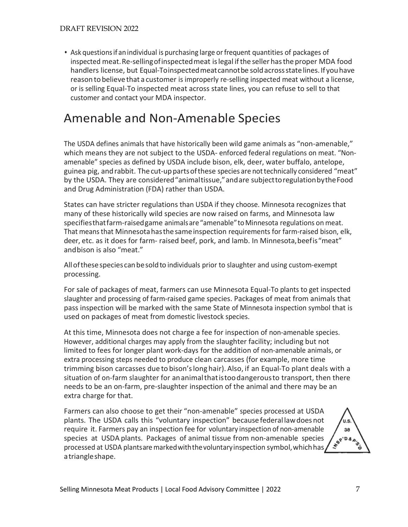• Ask questions if an individual is purchasing large or frequent quantities of packages of inspected meat.Re-sellingofinspectedmeat islegal ifthe sellerhasthe proper MDA food handlers license, but Equal-Toinspectedmeatcannotbe soldacrossstatelines.If youhave reason to believe that a customer is improperly re-selling inspected meat without a license, or is selling Equal-To inspected meat across state lines, you can refuse to sell to that customer and contact your MDA inspector.

## Amenable and Non-Amenable Species

The USDA defines animals that have historically been wild game animals as "non-amenable," which means they are not subject to the USDA- enforced federal regulations on meat. "Nonamenable" species as defined by USDA include bison, elk, deer, water buffalo, antelope, guinea pig, andrabbit. Thecut-uppartsofthese species are nottechnically considered "meat" by the USDA. They are considered"animaltissue,"andare subjecttoregulationbytheFood and Drug Administration (FDA) rather than USDA.

States can have stricter regulations than USDA if they choose. Minnesota recognizes that many of these historically wild species are now raised on farms, and Minnesota law specifiesthatfarm-raisedgame animalsare"amenable"toMinnesota regulations on meat. That means that Minnesota has the same inspection requirements for farm-raised bison, elk, deer, etc. as it does for farm- raised beef, pork, and lamb. In Minnesota,beefis"meat" andbison is also "meat."

Allofthesespecies canbesoldto individuals prior to slaughter and using custom-exempt processing.

For sale of packages of meat, farmers can use Minnesota Equal-To plants to get inspected slaughter and processing of farm-raised game species. Packages of meat from animals that pass inspection will be marked with the same State of Minnesota inspection symbol that is used on packages of meat from domestic livestock species.

At this time, Minnesota does not charge a fee for inspection of non-amenable species. However, additional charges may apply from the slaughter facility; including but not limited to fees for longer plant work-days for the addition of non-amenable animals, or extra processing steps needed to produce clean carcasses (for example, more time trimming bison carcasses due to bison'slong hair). Also, if an Equal-To plant deals with a situation of on-farm slaughter for ananimalthatistoodangerousto transport, then there needs to be an on-farm, pre-slaughter inspection of the animal and there may be an extra charge for that.

Farmers can also choose to get their "non-amenable" species processed at USDA plants. The USDA calls this "voluntary inspection" becausefederal lawdoesnot require it. Farmers pay an inspection fee for voluntary inspection of non-amenable species at USDA plants. Packages of animal tissue from non-amenable species processed at USDA plantsare marked with the voluntary inspection symbol, which has, atriangleshape.

U.S. 38 **ASP'D&A**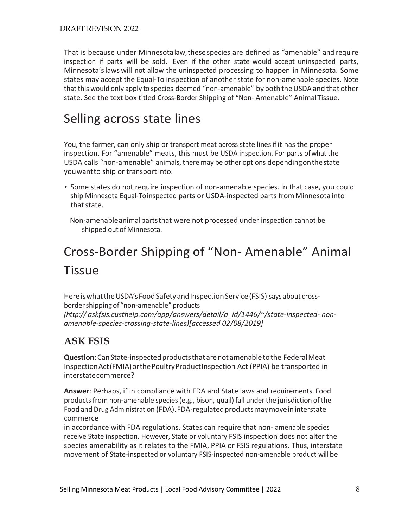That is because under Minnesotalaw,thesespecies are defined as "amenable" and require inspection if parts will be sold. Even if the other state would accept uninspected parts, Minnesota'slaws will not allow the uninspected processing to happen in Minnesota. Some states may accept the Equal-To inspection of another state for non-amenable species. Note that this would only apply to species deemed "non-amenable" by both the USDA and that other state. See the text box titled Cross-Border Shipping of "Non- Amenable" AnimalTissue.

### Selling across state lines

You, the farmer, can only ship or transport meat across state lines if it has the proper inspection. For "amenable" meats, this must be USDA inspection. For parts ofwhat the USDA calls "non-amenable" animals, there may be other options dependingonthestate youwantto ship or transportinto.

• Some states do not require inspection of non-amenable species. In that case, you could ship Minnesota Equal-Toinspected parts or USDA-inspected parts from Minnesota into that state.

Non-amenableanimalpartsthat were not processed under inspection cannot be shipped out of Minnesota.

# Cross-Border Shipping of "Non- Amenable" Animal **Tissue**

Here is what the USDA's Food Safety and Inspection Service (FSIS) says about crossbordershippingof "non-amenable" products *(http:// askfsis.custhelp.com/app/answers/detail/a\_id/1446/~/state-inspected- nonamenable-species-crossing-state-lines)[accessed 02/08/2019]*

#### **ASK FSIS**

**Question**:CanState-inspectedproductsthatarenotamenabletothe FederalMeat InspectionAct(FMIA)orthePoultryProductInspection Act (PPIA) be transported in interstatecommerce?

**Answer**: Perhaps, if in compliance with FDA and State laws and requirements. Food productsfrom non-amenable species(e.g., bison, quail) fall under the jurisdiction of the Food and Drug Administration (FDA). FDA-regulated products may move in interstate commerce

in accordance with FDA regulations. States can require that non- amenable species receive State inspection. However, State or voluntary FSIS inspection does not alter the species amenability as it relates to the FMIA, PPIA or FSIS regulations. Thus, interstate movement of State-inspected or voluntary FSIS-inspected non-amenable product will be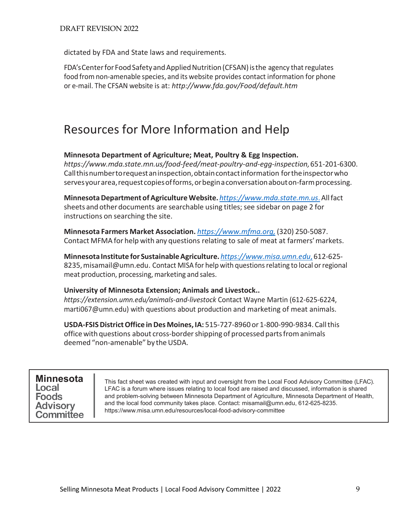dictated by FDA and State laws and requirements.

FDA's Center for Food Safety and Applied Nutrition (CFSAN) is the agency that regulates food from non-amenable species, and its website provides contact information for phone or e-mail. The CFSAN website is at: *<http://www.fda.gov/Food/default.htm>*

## Resources for More Information and Help

#### **Minnesota Department of Agriculture; Meat, Poultry & Egg Inspection.**

*https://www.mda.state.mn.us/food-feed/meat-poultry-and-egg-inspection,*651-201-6300. Callthisnumbertorequestaninspection,obtaincontactinformation fortheinspectorwho servesyourarea,requestcopiesofforms,orbeginaconversationabouton-farmprocessing.

**MinnesotaDepartment of AgricultureWebsite.** *[https://www.mda.state.mn.us](https://www.mda.state.mn.us./)*.Allfact sheets and other documents are searchable using titles; see sidebar on page 2 for instructions on searching the site.

**Minnesota Farmers Market Association.** *[https://www.mfma.org,](https://www.mfma.org,/)* (320) 250-5087. Contact MFMA for help with any questions relating to sale of meat at farmers'markets.

**Minnesota Institute for SustainableAgriculture.** *[https://www.misa.umn.edu](https://www.misa.umn.edu,/)*, 612-625- 8235, misamail@umn.edu. Contact MISA for help with questions relating to local or regional meat production, processing, marketing and sales.

#### **University of Minnesota Extension; Animals and Livestock..**

*https://extension.umn.edu/animals-and-livestock* Contact Wayne Martin (612-625-6224, marti067@umn.edu) with questions about production and marketing of meat animals.

**USDA-FSISDistrictOffice inDes Moines, IA:** 515-727-8960 or 1-800-990-9834. Callthis office with questions about cross-border shipping of processed parts from animals deemed "non-amenable" by the USDA.

#### **MinnesotaFoods Advisory Committee**

This fact sheet was created with input and oversight from the Local Food Advisory Committee (LFAC). LFAC is a forum where issues relating to local food are raised and discussed, information is shared and problem-solving between Minnesota Department of Agriculture, Minnesota Department of Health, and the local food community takes place. Contact: [misamail@umn.edu, 6](mailto:misamail@umn.edu)12-625-8235. [https://www.misa.umn.edu/re](http://www.misa.umn.edu/resources/local-food-advisory-committee)sou[rces/local-food-advisory-committee](http://www.misa.umn.edu/resources/local-food-advisory-committee)